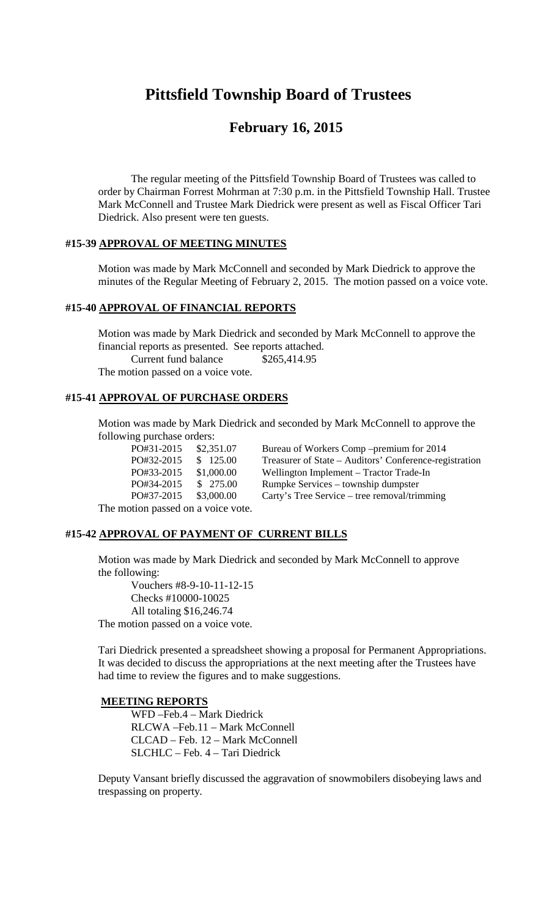# **Pittsfield Township Board of Trustees**

## **February 16, 2015**

The regular meeting of the Pittsfield Township Board of Trustees was called to order by Chairman Forrest Mohrman at 7:30 p.m. in the Pittsfield Township Hall. Trustee Mark McConnell and Trustee Mark Diedrick were present as well as Fiscal Officer Tari Diedrick. Also present were ten guests.

#### **#15-39 APPROVAL OF MEETING MINUTES**

Motion was made by Mark McConnell and seconded by Mark Diedrick to approve the minutes of the Regular Meeting of February 2, 2015. The motion passed on a voice vote.

#### **#15-40 APPROVAL OF FINANCIAL REPORTS**

Motion was made by Mark Diedrick and seconded by Mark McConnell to approve the financial reports as presented. See reports attached. Current fund balance \$265,414.95

The motion passed on a voice vote.

### **#15-41 APPROVAL OF PURCHASE ORDERS**

Motion was made by Mark Diedrick and seconded by Mark McConnell to approve the following purchase orders:

| PO#31-2015                    | \$2,351.07 | Bureau of Workers Comp – premium for 2014              |
|-------------------------------|------------|--------------------------------------------------------|
| PO#32-2015                    | \$125.00   | Treasurer of State – Auditors' Conference-registration |
| PO#33-2015                    | \$1,000.00 | Wellington Implement – Tractor Trade-In                |
| PO#34-2015                    | \$275.00   | Rumpke Services – township dumpster                    |
| PO#37-2015                    | \$3,000.00 | Carty's Tree Service – tree removal/trimming           |
| potion nassed on a voice vote |            |                                                        |

The motion passed on a voice vote.

#### **#15-42 APPROVAL OF PAYMENT OF CURRENT BILLS**

Motion was made by Mark Diedrick and seconded by Mark McConnell to approve the following:

Vouchers #8-9-10-11-12-15 Checks #10000-10025 All totaling \$16,246.74 The motion passed on a voice vote.

Tari Diedrick presented a spreadsheet showing a proposal for Permanent Appropriations. It was decided to discuss the appropriations at the next meeting after the Trustees have had time to review the figures and to make suggestions.

#### **MEETING REPORTS**

WFD –Feb.4 – Mark Diedrick RLCWA –Feb.11 – Mark McConnell CLCAD – Feb. 12 – Mark McConnell SLCHLC – Feb. 4 – Tari Diedrick

Deputy Vansant briefly discussed the aggravation of snowmobilers disobeying laws and trespassing on property.